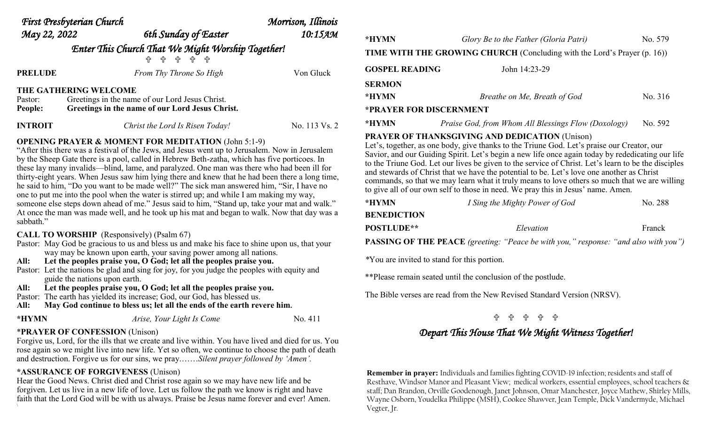| First Presbyterian Church                                                           |                                                 | Morrison, Illinois              |               |                                                                                 |                                                     |         |
|-------------------------------------------------------------------------------------|-------------------------------------------------|---------------------------------|---------------|---------------------------------------------------------------------------------|-----------------------------------------------------|---------|
| May 22, 2022                                                                        |                                                 | 6th Sunday of Easter            | 10:15 дм      | *HYMN                                                                           | Glory Be to the Father (Gloria Patri)               | No. 579 |
| Enter This Church That We Might Worship Together!<br><u> 슈 슈 슈 슈</u>                |                                                 |                                 |               | <b>TIME WITH THE GROWING CHURCH</b> (Concluding with the Lord's Prayer (p. 16)) |                                                     |         |
| <b>PRELUDE</b>                                                                      |                                                 | From Thy Throne So High         | Von Gluck     | <b>GOSPEL READING</b>                                                           | John 14:23-29                                       |         |
|                                                                                     |                                                 |                                 |               | <b>SERMON</b>                                                                   |                                                     |         |
| THE GATHERING WELCOME<br>Greetings in the name of our Lord Jesus Christ.<br>Pastor: |                                                 |                                 |               | *HYMN                                                                           | Breathe on Me, Breath of God                        | No. 316 |
| People:                                                                             | Greetings in the name of our Lord Jesus Christ. |                                 |               | *PRAYER FOR DISCERNMENT                                                         |                                                     |         |
| <b>INTROIT</b>                                                                      |                                                 | Christ the Lord Is Risen Today! | No. 113 Vs. 2 | *HYMN                                                                           | Praise God, from Whom All Blessings Flow (Doxology) | No. 592 |
|                                                                                     |                                                 |                                 |               | <b>PRAYER OF THANKSGIVING AND DEDICATION (Unison)</b>                           |                                                     |         |

#### **OPENING PRAYER & MOMENT FOR MEDITATION** (John 5:1-9)

"After this there was a festival of the Jews, and Jesus went up to Jerusalem. Now in Jerusalem by the Sheep Gate there is a pool, called in Hebrew Beth-zatha, which has five porticoes. In these lay many invalids—blind, lame, and paralyzed. One man was there who had been ill for thirty-eight years. When Jesus saw him lying there and knew that he had been there a long time, he said to him, "Do you want to be made well?" The sick man answered him, "Sir, I have no one to put me into the pool when the water is stirred up; and while I am making my way, someone else steps down ahead of me." Jesus said to him, "Stand up, take your mat and walk." At once the man was made well, and he took up his mat and began to walk. Now that day was a sabbath."

#### **CALL TO WORSHIP** (Responsively) (Psalm 67)

- Pastor: May God be gracious to us and bless us and make his face to shine upon us, that your way may be known upon earth, your saving power among all nations.
- **All: Let the peoples praise you, O God; let all the peoples praise you.**
- Pastor: Let the nations be glad and sing for joy, for you judge the peoples with equity and guide the nations upon earth.
- **All: Let the peoples praise you, O God; let all the peoples praise you.**

Pastor: The earth has yielded its increase; God, our God, has blessed us.

**All: May God continue to bless us; let all the ends of the earth revere him.** 

```
*HYMN Arise, Your Light Is Come No. 411
```
### \***PRAYER OF CONFESSION** (Unison)

Forgive us, Lord, for the ills that we create and live within. You have lived and died for us. You rose again so we might live into new life. Yet so often, we continue to choose the path of death and destruction. Forgive us for our sins, we pray.……*Silent prayer followed by 'Amen'.* 

### **\*ASSURANCE OF FORGIVENESS** (Unison)

Hear the Good News. Christ died and Christ rose again so we may have new life and be forgiven. Let us live in a new life of love. Let us follow the path we know is right and have faith that the Lord God will be with us always. Praise be Jesus name forever and ever! Amen. \

| *HYMN                   | Glory Be to the Father (Gloria Patri)<br><b>TIME WITH THE GROWING CHURCH</b> (Concluding with the Lord's Prayer (p. 16)) | No. 579 |  |  |  |  |
|-------------------------|--------------------------------------------------------------------------------------------------------------------------|---------|--|--|--|--|
| <b>GOSPEL READING</b>   | John 14:23-29                                                                                                            |         |  |  |  |  |
| <b>SERMON</b><br>*HYMN  | Breathe on Me, Breath of God                                                                                             | No. 316 |  |  |  |  |
| *PRAYER FOR DISCERNMENT |                                                                                                                          |         |  |  |  |  |
| *HYMN                   | Praise God, from Whom All Blessings Flow (Doxology)                                                                      | No. 592 |  |  |  |  |

### **PRAYER OF THANKSGIVING AND DEDICATION** (Unison)

Let's, together, as one body, give thanks to the Triune God. Let's praise our Creator, our Savior, and our Guiding Spirit. Let's begin a new life once again today by rededicating our life to the Triune God. Let our lives be given to the service of Christ. Let's learn to be the disciples and stewards of Christ that we have the potential to be. Let's love one another as Christ commands, so that we may learn what it truly means to love others so much that we are willing to give all of our own self to those in need. We pray this in Jesus' name. Amen. 

| *HYMN              | I Sing the Mighty Power of God                                                             | No. 288 |
|--------------------|--------------------------------------------------------------------------------------------|---------|
| <b>BENEDICTION</b> |                                                                                            |         |
| <b>POSTLUDE**</b>  | Elevation                                                                                  | Franck  |
|                    | <b>PASSING OF THE PEACE</b> (greeting: "Peace be with you," response: "and also with you") |         |

*\**You are invited to stand for this portion.

\*\*Please remain seated until the conclusion of the postlude.

The Bible verses are read from the New Revised Standard Version (NRSV).

### 

## *Depart This House That We Might Witness Together!*

**Remember in prayer:** Individuals and families fighting COVID-19 infection; residents and staff of Resthave, Windsor Manor and Pleasant View; medical workers, essential employees, school teachers & staff; Dan Brandon, Orville Goodenough, Janet Johnson, Omar Manchester, Joyce Mathew, Shirley Mills, Wayne Osborn, Youdelka Philippe (MSH), Cookee Shawver, Jean Temple, Dick Vandermyde, Michael Vegter, Jr.